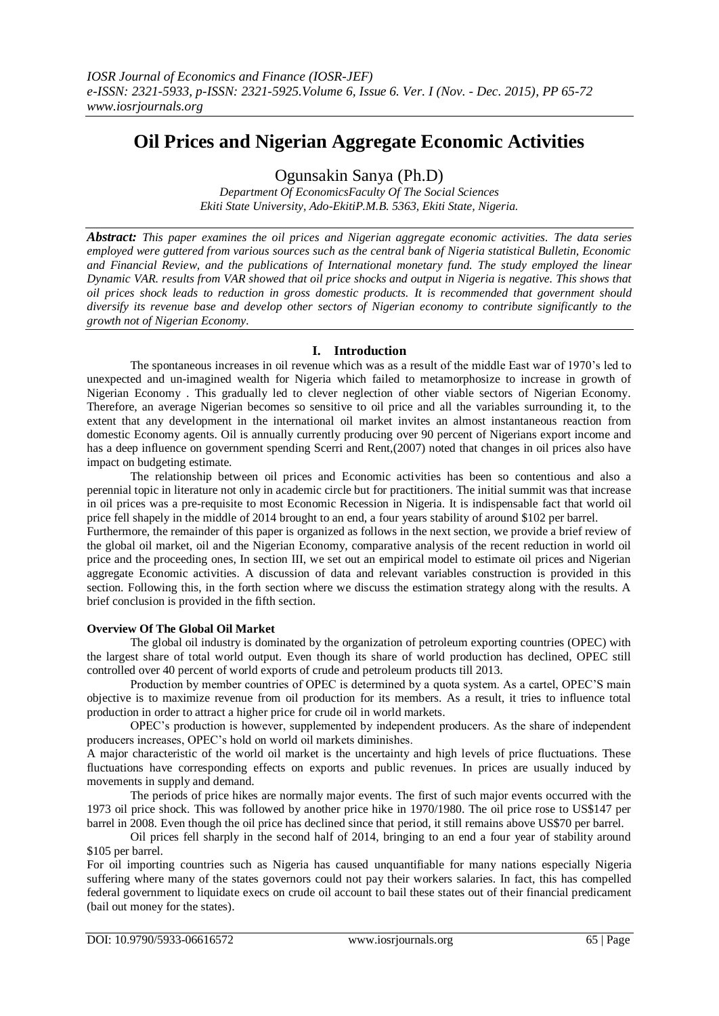# **Oil Prices and Nigerian Aggregate Economic Activities**

Ogunsakin Sanya (Ph.D)

*Department Of EconomicsFaculty Of The Social Sciences Ekiti State University, Ado-EkitiP.M.B. 5363, Ekiti State, Nigeria.*

*Abstract: This paper examines the oil prices and Nigerian aggregate economic activities. The data series employed were guttered from various sources such as the central bank of Nigeria statistical Bulletin, Economic and Financial Review, and the publications of International monetary fund. The study employed the linear Dynamic VAR. results from VAR showed that oil price shocks and output in Nigeria is negative. This shows that oil prices shock leads to reduction in gross domestic products. It is recommended that government should diversify its revenue base and develop other sectors of Nigerian economy to contribute significantly to the growth not of Nigerian Economy.* 

# **I. Introduction**

The spontaneous increases in oil revenue which was as a result of the middle East war of 1970's led to unexpected and un-imagined wealth for Nigeria which failed to metamorphosize to increase in growth of Nigerian Economy . This gradually led to clever neglection of other viable sectors of Nigerian Economy. Therefore, an average Nigerian becomes so sensitive to oil price and all the variables surrounding it, to the extent that any development in the international oil market invites an almost instantaneous reaction from domestic Economy agents. Oil is annually currently producing over 90 percent of Nigerians export income and has a deep influence on government spending Scerri and Rent,(2007) noted that changes in oil prices also have impact on budgeting estimate.

The relationship between oil prices and Economic activities has been so contentious and also a perennial topic in literature not only in academic circle but for practitioners. The initial summit was that increase in oil prices was a pre-requisite to most Economic Recession in Nigeria. It is indispensable fact that world oil price fell shapely in the middle of 2014 brought to an end, a four years stability of around \$102 per barrel.

Furthermore, the remainder of this paper is organized as follows in the next section, we provide a brief review of the global oil market, oil and the Nigerian Economy, comparative analysis of the recent reduction in world oil price and the proceeding ones, In section III, we set out an empirical model to estimate oil prices and Nigerian aggregate Economic activities. A discussion of data and relevant variables construction is provided in this section. Following this, in the forth section where we discuss the estimation strategy along with the results. A brief conclusion is provided in the fifth section.

# **Overview Of The Global Oil Market**

The global oil industry is dominated by the organization of petroleum exporting countries (OPEC) with the largest share of total world output. Even though its share of world production has declined, OPEC still controlled over 40 percent of world exports of crude and petroleum products till 2013.

Production by member countries of OPEC is determined by a quota system. As a cartel, OPEC'S main objective is to maximize revenue from oil production for its members. As a result, it tries to influence total production in order to attract a higher price for crude oil in world markets.

OPEC's production is however, supplemented by independent producers. As the share of independent producers increases, OPEC's hold on world oil markets diminishes.

A major characteristic of the world oil market is the uncertainty and high levels of price fluctuations. These fluctuations have corresponding effects on exports and public revenues. In prices are usually induced by movements in supply and demand.

The periods of price hikes are normally major events. The first of such major events occurred with the 1973 oil price shock. This was followed by another price hike in 1970/1980. The oil price rose to US\$147 per barrel in 2008. Even though the oil price has declined since that period, it still remains above US\$70 per barrel.

Oil prices fell sharply in the second half of 2014, bringing to an end a four year of stability around \$105 per barrel.

For oil importing countries such as Nigeria has caused unquantifiable for many nations especially Nigeria suffering where many of the states governors could not pay their workers salaries. In fact, this has compelled federal government to liquidate execs on crude oil account to bail these states out of their financial predicament (bail out money for the states).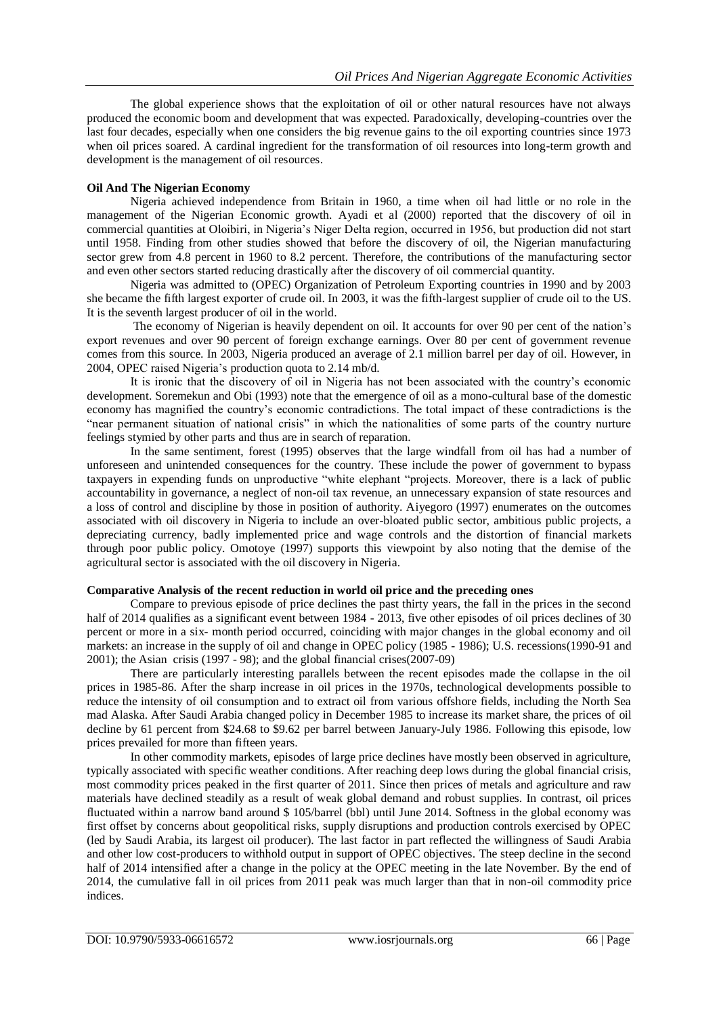The global experience shows that the exploitation of oil or other natural resources have not always produced the economic boom and development that was expected. Paradoxically, developing-countries over the last four decades, especially when one considers the big revenue gains to the oil exporting countries since 1973 when oil prices soared. A cardinal ingredient for the transformation of oil resources into long-term growth and development is the management of oil resources.

## **Oil And The Nigerian Economy**

Nigeria achieved independence from Britain in 1960, a time when oil had little or no role in the management of the Nigerian Economic growth. Ayadi et al (2000) reported that the discovery of oil in commercial quantities at Oloibiri, in Nigeria's Niger Delta region, occurred in 1956, but production did not start until 1958. Finding from other studies showed that before the discovery of oil, the Nigerian manufacturing sector grew from 4.8 percent in 1960 to 8.2 percent. Therefore, the contributions of the manufacturing sector and even other sectors started reducing drastically after the discovery of oil commercial quantity.

Nigeria was admitted to (OPEC) Organization of Petroleum Exporting countries in 1990 and by 2003 she became the fifth largest exporter of crude oil. In 2003, it was the fifth-largest supplier of crude oil to the US. It is the seventh largest producer of oil in the world.

The economy of Nigerian is heavily dependent on oil. It accounts for over 90 per cent of the nation's export revenues and over 90 percent of foreign exchange earnings. Over 80 per cent of government revenue comes from this source. In 2003, Nigeria produced an average of 2.1 million barrel per day of oil. However, in 2004, OPEC raised Nigeria's production quota to 2.14 mb/d.

It is ironic that the discovery of oil in Nigeria has not been associated with the country's economic development. Soremekun and Obi (1993) note that the emergence of oil as a mono-cultural base of the domestic economy has magnified the country's economic contradictions. The total impact of these contradictions is the "near permanent situation of national crisis" in which the nationalities of some parts of the country nurture feelings stymied by other parts and thus are in search of reparation.

In the same sentiment, forest (1995) observes that the large windfall from oil has had a number of unforeseen and unintended consequences for the country. These include the power of government to bypass taxpayers in expending funds on unproductive "white elephant "projects. Moreover, there is a lack of public accountability in governance, a neglect of non-oil tax revenue, an unnecessary expansion of state resources and a loss of control and discipline by those in position of authority. Aiyegoro (1997) enumerates on the outcomes associated with oil discovery in Nigeria to include an over-bloated public sector, ambitious public projects, a depreciating currency, badly implemented price and wage controls and the distortion of financial markets through poor public policy. Omotoye (1997) supports this viewpoint by also noting that the demise of the agricultural sector is associated with the oil discovery in Nigeria.

# **Comparative Analysis of the recent reduction in world oil price and the preceding ones**

Compare to previous episode of price declines the past thirty years, the fall in the prices in the second half of 2014 qualifies as a significant event between 1984 - 2013, five other episodes of oil prices declines of 30 percent or more in a six- month period occurred, coinciding with major changes in the global economy and oil markets: an increase in the supply of oil and change in OPEC policy (1985 - 1986); U.S. recessions(1990-91 and 2001); the Asian crisis (1997 - 98); and the global financial crises(2007-09)

There are particularly interesting parallels between the recent episodes made the collapse in the oil prices in 1985-86. After the sharp increase in oil prices in the 1970s, technological developments possible to reduce the intensity of oil consumption and to extract oil from various offshore fields, including the North Sea mad Alaska. After Saudi Arabia changed policy in December 1985 to increase its market share, the prices of oil decline by 61 percent from \$24.68 to \$9.62 per barrel between January-July 1986. Following this episode, low prices prevailed for more than fifteen years.

In other commodity markets, episodes of large price declines have mostly been observed in agriculture, typically associated with specific weather conditions. After reaching deep lows during the global financial crisis, most commodity prices peaked in the first quarter of 2011. Since then prices of metals and agriculture and raw materials have declined steadily as a result of weak global demand and robust supplies. In contrast, oil prices fluctuated within a narrow band around \$ 105/barrel (bbl) until June 2014. Softness in the global economy was first offset by concerns about geopolitical risks, supply disruptions and production controls exercised by OPEC (led by Saudi Arabia, its largest oil producer). The last factor in part reflected the willingness of Saudi Arabia and other low cost-producers to withhold output in support of OPEC objectives. The steep decline in the second half of 2014 intensified after a change in the policy at the OPEC meeting in the late November. By the end of 2014, the cumulative fall in oil prices from 2011 peak was much larger than that in non-oil commodity price indices.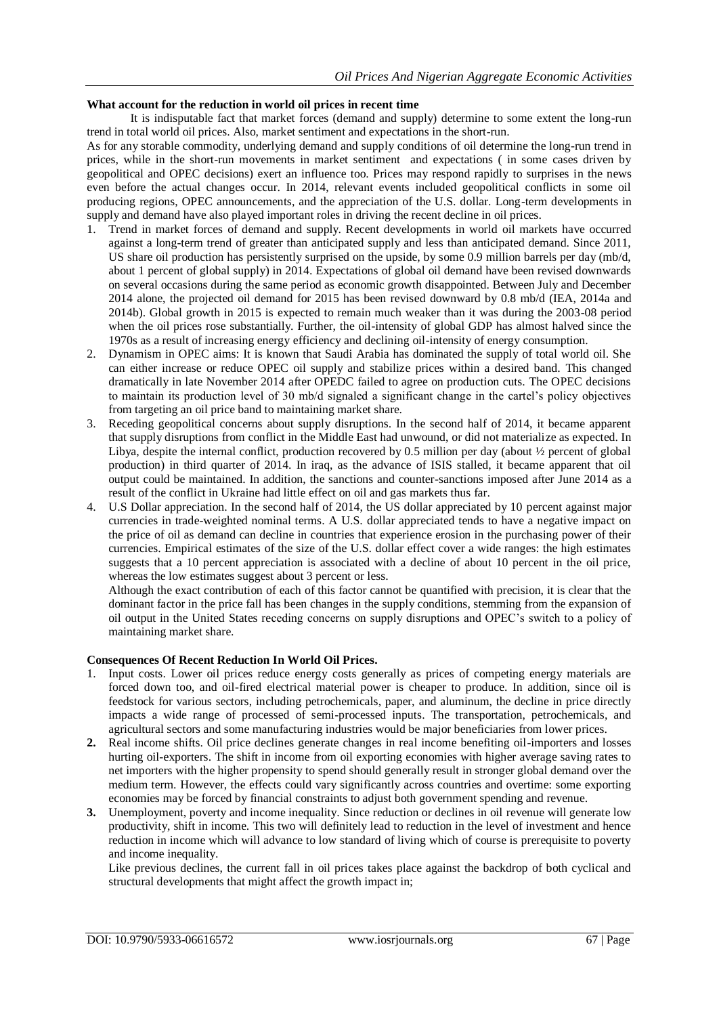## **What account for the reduction in world oil prices in recent time**

It is indisputable fact that market forces (demand and supply) determine to some extent the long-run trend in total world oil prices. Also, market sentiment and expectations in the short-run.

As for any storable commodity, underlying demand and supply conditions of oil determine the long-run trend in prices, while in the short-run movements in market sentiment and expectations ( in some cases driven by geopolitical and OPEC decisions) exert an influence too. Prices may respond rapidly to surprises in the news even before the actual changes occur. In 2014, relevant events included geopolitical conflicts in some oil producing regions, OPEC announcements, and the appreciation of the U.S. dollar. Long-term developments in supply and demand have also played important roles in driving the recent decline in oil prices.

- 1. Trend in market forces of demand and supply. Recent developments in world oil markets have occurred against a long-term trend of greater than anticipated supply and less than anticipated demand. Since 2011, US share oil production has persistently surprised on the upside, by some 0.9 million barrels per day (mb/d, about 1 percent of global supply) in 2014. Expectations of global oil demand have been revised downwards on several occasions during the same period as economic growth disappointed. Between July and December 2014 alone, the projected oil demand for 2015 has been revised downward by 0.8 mb/d (IEA, 2014a and 2014b). Global growth in 2015 is expected to remain much weaker than it was during the 2003-08 period when the oil prices rose substantially. Further, the oil-intensity of global GDP has almost halved since the 1970s as a result of increasing energy efficiency and declining oil-intensity of energy consumption.
- 2. Dynamism in OPEC aims: It is known that Saudi Arabia has dominated the supply of total world oil. She can either increase or reduce OPEC oil supply and stabilize prices within a desired band. This changed dramatically in late November 2014 after OPEDC failed to agree on production cuts. The OPEC decisions to maintain its production level of 30 mb/d signaled a significant change in the cartel's policy objectives from targeting an oil price band to maintaining market share.
- 3. Receding geopolitical concerns about supply disruptions. In the second half of 2014, it became apparent that supply disruptions from conflict in the Middle East had unwound, or did not materialize as expected. In Libya, despite the internal conflict, production recovered by 0.5 million per day (about ½ percent of global production) in third quarter of 2014. In iraq, as the advance of ISIS stalled, it became apparent that oil output could be maintained. In addition, the sanctions and counter-sanctions imposed after June 2014 as a result of the conflict in Ukraine had little effect on oil and gas markets thus far.
- 4. U.S Dollar appreciation. In the second half of 2014, the US dollar appreciated by 10 percent against major currencies in trade-weighted nominal terms. A U.S. dollar appreciated tends to have a negative impact on the price of oil as demand can decline in countries that experience erosion in the purchasing power of their currencies. Empirical estimates of the size of the U.S. dollar effect cover a wide ranges: the high estimates suggests that a 10 percent appreciation is associated with a decline of about 10 percent in the oil price, whereas the low estimates suggest about 3 percent or less.

Although the exact contribution of each of this factor cannot be quantified with precision, it is clear that the dominant factor in the price fall has been changes in the supply conditions, stemming from the expansion of oil output in the United States receding concerns on supply disruptions and OPEC's switch to a policy of maintaining market share.

# **Consequences Of Recent Reduction In World Oil Prices.**

- 1. Input costs. Lower oil prices reduce energy costs generally as prices of competing energy materials are forced down too, and oil-fired electrical material power is cheaper to produce. In addition, since oil is feedstock for various sectors, including petrochemicals, paper, and aluminum, the decline in price directly impacts a wide range of processed of semi-processed inputs. The transportation, petrochemicals, and agricultural sectors and some manufacturing industries would be major beneficiaries from lower prices.
- **2.** Real income shifts. Oil price declines generate changes in real income benefiting oil-importers and losses hurting oil-exporters. The shift in income from oil exporting economies with higher average saving rates to net importers with the higher propensity to spend should generally result in stronger global demand over the medium term. However, the effects could vary significantly across countries and overtime: some exporting economies may be forced by financial constraints to adjust both government spending and revenue.
- **3.** Unemployment, poverty and income inequality. Since reduction or declines in oil revenue will generate low productivity, shift in income. This two will definitely lead to reduction in the level of investment and hence reduction in income which will advance to low standard of living which of course is prerequisite to poverty and income inequality.

Like previous declines, the current fall in oil prices takes place against the backdrop of both cyclical and structural developments that might affect the growth impact in;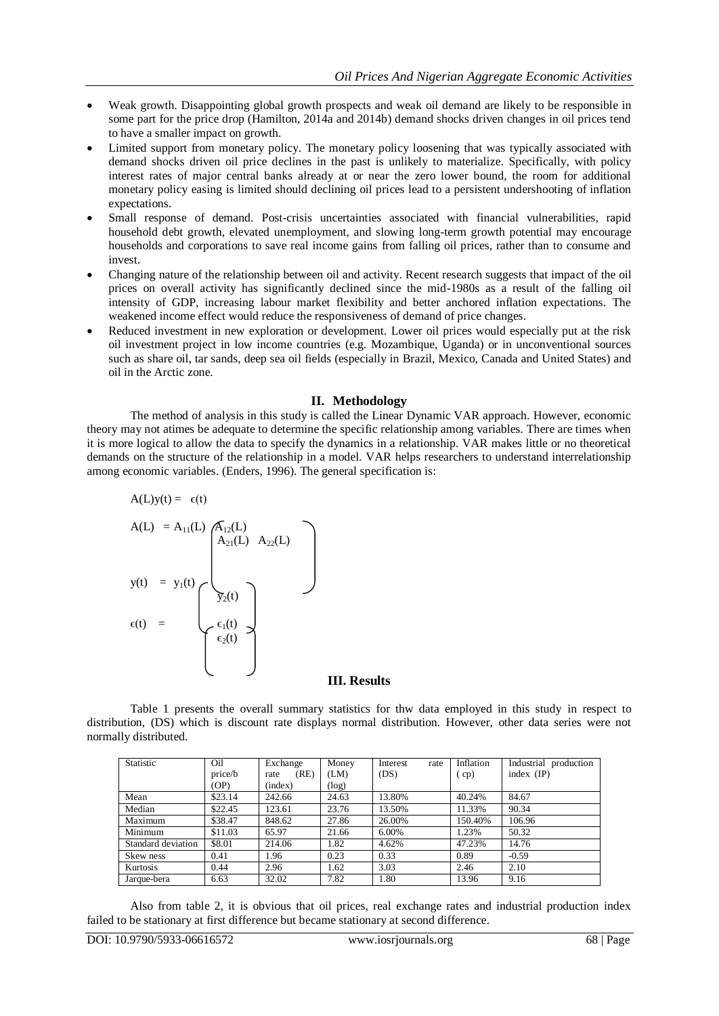- Weak growth. Disappointing global growth prospects and weak oil demand are likely to be responsible in some part for the price drop (Hamilton, 2014a and 2014b) demand shocks driven changes in oil prices tend to have a smaller impact on growth.
- Limited support from monetary policy. The monetary policy loosening that was typically associated with demand shocks driven oil price declines in the past is unlikely to materialize. Specifically, with policy interest rates of major central banks already at or near the zero lower bound, the room for additional monetary policy easing is limited should declining oil prices lead to a persistent undershooting of inflation expectations.
- Small response of demand. Post-crisis uncertainties associated with financial vulnerabilities, rapid household debt growth, elevated unemployment, and slowing long-term growth potential may encourage households and corporations to save real income gains from falling oil prices, rather than to consume and invest.
- Changing nature of the relationship between oil and activity. Recent research suggests that impact of the oil prices on overall activity has significantly declined since the mid-1980s as a result of the falling oil intensity of GDP, increasing labour market flexibility and better anchored inflation expectations. The weakened income effect would reduce the responsiveness of demand of price changes.
- Reduced investment in new exploration or development. Lower oil prices would especially put at the risk oil investment project in low income countries (e.g. Mozambique, Uganda) or in unconventional sources such as share oil, tar sands, deep sea oil fields (especially in Brazil, Mexico, Canada and United States) and oil in the Arctic zone.

## **II. Methodology**

The method of analysis in this study is called the Linear Dynamic VAR approach. However, economic theory may not atimes be adequate to determine the specific relationship among variables. There are times when it is more logical to allow the data to specify the dynamics in a relationship. VAR makes little or no theoretical demands on the structure of the relationship in a model. VAR helps researchers to understand interrelationship among economic variables. (Enders, 1996). The general specification is:

$$
A(L)y(t) = \epsilon(t)
$$
\n
$$
A(L) = A_{11}(L) \underbrace{A_{12}(L)}_{A_{21}(L) A_{22}(L)}
$$
\n
$$
y(t) = y_1(t) \underbrace{A_{21}(L) A_{22}(L)}_{\epsilon_2(t)} - \underbrace{A_{21}(t)}_{\epsilon_2(t)}
$$

#### **III. Results**

Table 1 presents the overall summary statistics for thw data employed in this study in respect to distribution, (DS) which is discount rate displays normal distribution. However, other data series were not normally distributed.

| Statistic          | Oil     | Exchange     | Money | Interest<br>rate | Inflation | Industrial production |
|--------------------|---------|--------------|-------|------------------|-----------|-----------------------|
|                    | price/b | (RE)<br>rate | (LM)  | (DS)             | cp)       | index $(\mathbf{IP})$ |
|                    | (OP)    | (index)      | (log) |                  |           |                       |
| Mean               | \$23.14 | 242.66       | 24.63 | 13.80%           | 40.24%    | 84.67                 |
| Median             | \$22.45 | 123.61       | 23.76 | 13.50%           | 11.33%    | 90.34                 |
| Maximum            | \$38.47 | 848.62       | 27.86 | 26.00%           | 150.40%   | 106.96                |
| Minimum            | \$11.03 | 65.97        | 21.66 | 6.00%            | 1.23%     | 50.32                 |
| Standard deviation | \$8.01  | 214.06       | 1.82  | 4.62%            | 47.23%    | 14.76                 |
| Skew ness          | 0.41    | 1.96         | 0.23  | 0.33             | 0.89      | $-0.59$               |
| Kurtosis           | 0.44    | 2.96         | 1.62  | 3.03             | 2.46      | 2.10                  |
| Jarque-bera        | 6.63    | 32.02        | 7.82  | 1.80             | 13.96     | 9.16                  |

Also from table 2, it is obvious that oil prices, real exchange rates and industrial production index failed to be stationary at first difference but became stationary at second difference.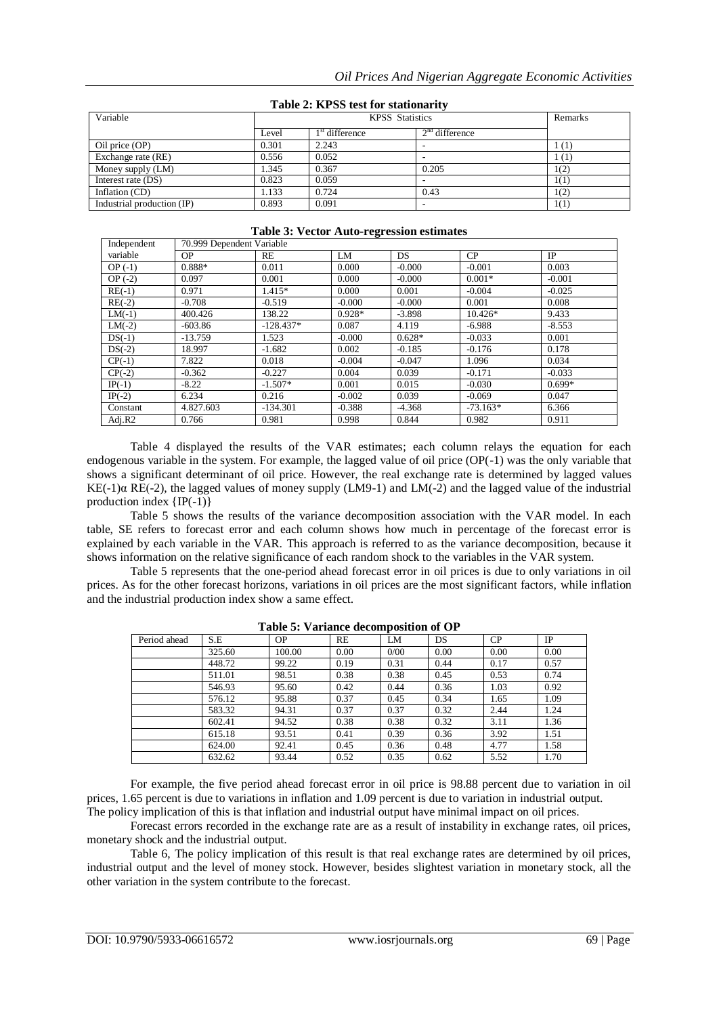| $1400 \mathcal{C}$ 2. Ist by test for stationarity |       |                  |                  |      |  |  |  |  |  |  |
|----------------------------------------------------|-------|------------------|------------------|------|--|--|--|--|--|--|
| Variable                                           |       | Remarks          |                  |      |  |  |  |  |  |  |
|                                                    | Level | $1st$ difference | $2nd$ difference |      |  |  |  |  |  |  |
| Oil price (OP)                                     | 0.301 | 2.243            |                  | - (1 |  |  |  |  |  |  |
| Exchange rate (RE)                                 | 0.556 | 0.052            |                  | (1)  |  |  |  |  |  |  |
| Money supply (LM)                                  | 1.345 | 0.367            | 0.205            | 1(2) |  |  |  |  |  |  |
| Interest rate (DS)                                 | 0.823 | 0.059            |                  | 1(1) |  |  |  |  |  |  |
| Inflation (CD)                                     | 1.133 | 0.724            | 0.43             | (2)  |  |  |  |  |  |  |
| Industrial production (IP)                         | 0.893 | 0.091            |                  | 1(1) |  |  |  |  |  |  |

# **Table 2: KPSS test for stationarity**

# **Table 3: Vector Auto-regression estimates**

| Independent | 70.999 Dependent Variable |             |          |          |            |           |  |  |  |  |
|-------------|---------------------------|-------------|----------|----------|------------|-----------|--|--|--|--|
| variable    | <b>OP</b>                 | RE          | LM       | DS.      | CP         | <b>IP</b> |  |  |  |  |
| $OP(-1)$    | 0.888*                    | 0.011       | 0.000    | $-0.000$ | $-0.001$   | 0.003     |  |  |  |  |
| $OP(-2)$    | 0.097                     | 0.001       | 0.000    | $-0.000$ | $0.001*$   | $-0.001$  |  |  |  |  |
| $RE(-1)$    | 0.971                     | $1.415*$    | 0.000    | 0.001    | $-0.004$   | $-0.025$  |  |  |  |  |
| $RE(-2)$    | $-0.708$                  | $-0.519$    | $-0.000$ | $-0.000$ | 0.001      | 0.008     |  |  |  |  |
| $LM(-1)$    | 400.426                   | 138.22      | $0.928*$ | $-3.898$ | $10.426*$  | 9.433     |  |  |  |  |
| $LM(-2)$    | $-603.86$                 | $-128.437*$ | 0.087    | 4.119    | $-6.988$   | $-8.553$  |  |  |  |  |
| $DS(-1)$    | $-13.759$                 | 1.523       | $-0.000$ | $0.628*$ | $-0.033$   | 0.001     |  |  |  |  |
| $DS(-2)$    | 18.997                    | $-1.682$    | 0.002    | $-0.185$ | $-0.176$   | 0.178     |  |  |  |  |
| $CP(-1)$    | 7.822                     | 0.018       | $-0.004$ | $-0.047$ | 1.096      | 0.034     |  |  |  |  |
| $CP(-2)$    | $-0.362$                  | $-0.227$    | 0.004    | 0.039    | $-0.171$   | $-0.033$  |  |  |  |  |
| $IP(-1)$    | $-8.22$                   | $-1.507*$   | 0.001    | 0.015    | $-0.030$   | $0.699*$  |  |  |  |  |
| $IP(-2)$    | 6.234                     | 0.216       | $-0.002$ | 0.039    | $-0.069$   | 0.047     |  |  |  |  |
| Constant    | 4.827.603                 | $-134.301$  | $-0.388$ | $-4.368$ | $-73.163*$ | 6.366     |  |  |  |  |
| Adj. $R2$   | 0.766                     | 0.981       | 0.998    | 0.844    | 0.982      | 0.911     |  |  |  |  |

Table 4 displayed the results of the VAR estimates; each column relays the equation for each endogenous variable in the system. For example, the lagged value of oil price (OP(-1) was the only variable that shows a significant determinant of oil price. However, the real exchange rate is determined by lagged values KE(-1) $\alpha$  RE(-2), the lagged values of money supply (LM9-1) and LM(-2) and the lagged value of the industrial production index  $\{IP(-1)\}$ 

Table 5 shows the results of the variance decomposition association with the VAR model. In each table, SE refers to forecast error and each column shows how much in percentage of the forecast error is explained by each variable in the VAR. This approach is referred to as the variance decomposition, because it shows information on the relative significance of each random shock to the variables in the VAR system.

Table 5 represents that the one-period ahead forecast error in oil prices is due to only variations in oil prices. As for the other forecast horizons, variations in oil prices are the most significant factors, while inflation and the industrial production index show a same effect.

| Period ahead | S.E    | <b>OP</b> | RE   | LM   | DS   | CP   | IP   |
|--------------|--------|-----------|------|------|------|------|------|
|              | 325.60 | 100.00    | 0.00 | 0/00 | 0.00 | 0.00 | 0.00 |
|              | 448.72 | 99.22     | 0.19 | 0.31 | 0.44 | 0.17 | 0.57 |
|              | 511.01 | 98.51     | 0.38 | 0.38 | 0.45 | 0.53 | 0.74 |
|              | 546.93 | 95.60     | 0.42 | 0.44 | 0.36 | 1.03 | 0.92 |
|              | 576.12 | 95.88     | 0.37 | 0.45 | 0.34 | 1.65 | 1.09 |
|              | 583.32 | 94.31     | 0.37 | 0.37 | 0.32 | 2.44 | 1.24 |
|              | 602.41 | 94.52     | 0.38 | 0.38 | 0.32 | 3.11 | 1.36 |
|              | 615.18 | 93.51     | 0.41 | 0.39 | 0.36 | 3.92 | 1.51 |
|              | 624.00 | 92.41     | 0.45 | 0.36 | 0.48 | 4.77 | 1.58 |
|              | 632.62 | 93.44     | 0.52 | 0.35 | 0.62 | 5.52 | 1.70 |

**Table 5: Variance decomposition of OP**

For example, the five period ahead forecast error in oil price is 98.88 percent due to variation in oil prices, 1.65 percent is due to variations in inflation and 1.09 percent is due to variation in industrial output. The policy implication of this is that inflation and industrial output have minimal impact on oil prices.

Forecast errors recorded in the exchange rate are as a result of instability in exchange rates, oil prices, monetary shock and the industrial output.

Table 6, The policy implication of this result is that real exchange rates are determined by oil prices, industrial output and the level of money stock. However, besides slightest variation in monetary stock, all the other variation in the system contribute to the forecast.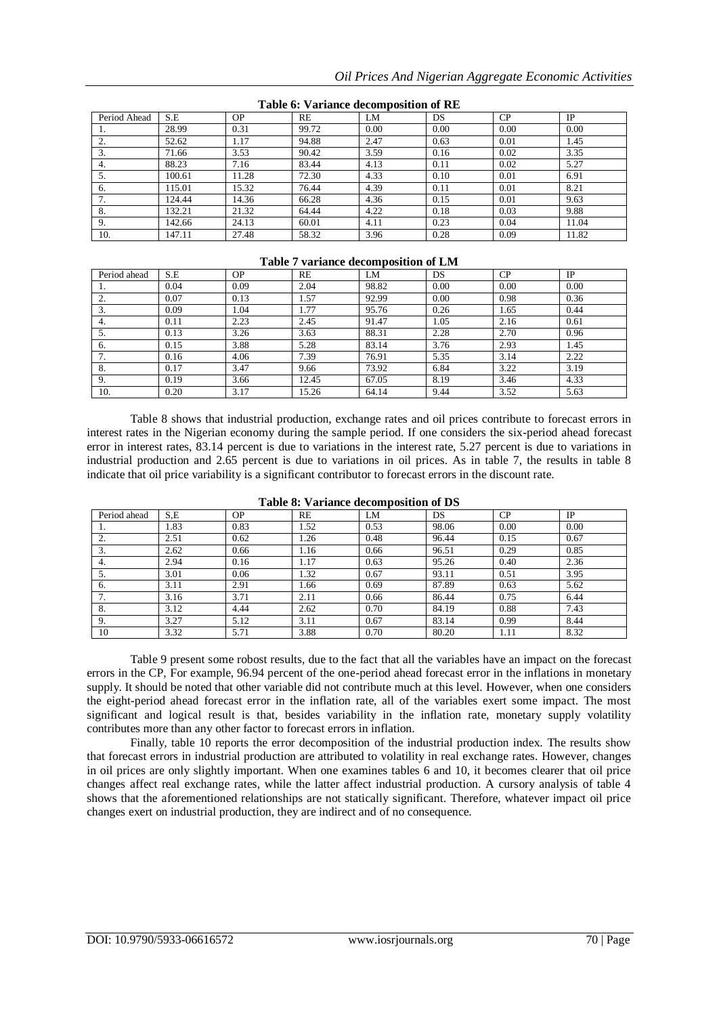| Period Ahead             | S.E    | <b>OP</b> | RE    | LM   | DS   | CP   | <b>IP</b> |  |  |  |
|--------------------------|--------|-----------|-------|------|------|------|-----------|--|--|--|
|                          | 28.99  | 0.31      | 99.72 | 0.00 | 0.00 | 0.00 | 0.00      |  |  |  |
|                          | 52.62  | 1.17      | 94.88 | 2.47 | 0.63 | 0.01 | 1.45      |  |  |  |
| $\mathfrak{I}$ .         | 71.66  | 3.53      | 90.42 | 3.59 | 0.16 | 0.02 | 3.35      |  |  |  |
| 4.                       | 88.23  | 7.16      | 83.44 | 4.13 | 0.11 | 0.02 | 5.27      |  |  |  |
| 5.                       | 100.61 | 11.28     | 72.30 | 4.33 | 0.10 | 0.01 | 6.91      |  |  |  |
| 6.                       | 115.01 | 15.32     | 76.44 | 4.39 | 0.11 | 0.01 | 8.21      |  |  |  |
| $\overline{\phantom{a}}$ | 124.44 | 14.36     | 66.28 | 4.36 | 0.15 | 0.01 | 9.63      |  |  |  |
| 8.                       | 132.21 | 21.32     | 64.44 | 4.22 | 0.18 | 0.03 | 9.88      |  |  |  |
| 9.                       | 142.66 | 24.13     | 60.01 | 4.11 | 0.23 | 0.04 | 11.04     |  |  |  |
| 10.                      | 147.11 | 27.48     | 58.32 | 3.96 | 0.28 | 0.09 | 11.82     |  |  |  |

**Table 6: Variance decomposition of RE**

## **Table 7 variance decomposition of LM**

| Period ahead  | S.E  | <b>OP</b> | <b>RE</b> | LM    | DS   | CP   | IP   |
|---------------|------|-----------|-----------|-------|------|------|------|
| .,            | 0.04 | 0.09      | 2.04      | 98.82 | 0.00 | 0.00 | 0.00 |
|               | 0.07 | 0.13      | 1.57      | 92.99 | 0.00 | 0.98 | 0.36 |
| $\mathcal{L}$ | 0.09 | 1.04      | 1.77      | 95.76 | 0.26 | 1.65 | 0.44 |
| 4.            | 0.11 | 2.23      | 2.45      | 91.47 | 1.05 | 2.16 | 0.61 |
| $\mathcal{L}$ | 0.13 | 3.26      | 3.63      | 88.31 | 2.28 | 2.70 | 0.96 |
| 6.            | 0.15 | 3.88      | 5.28      | 83.14 | 3.76 | 2.93 | 1.45 |
|               | 0.16 | 4.06      | 7.39      | 76.91 | 5.35 | 3.14 | 2.22 |
| 8.            | 0.17 | 3.47      | 9.66      | 73.92 | 6.84 | 3.22 | 3.19 |
|               | 0.19 | 3.66      | 12.45     | 67.05 | 8.19 | 3.46 | 4.33 |
| 10.           | 0.20 | 3.17      | 15.26     | 64.14 | 9.44 | 3.52 | 5.63 |

Table 8 shows that industrial production, exchange rates and oil prices contribute to forecast errors in interest rates in the Nigerian economy during the sample period. If one considers the six-period ahead forecast error in interest rates, 83.14 percent is due to variations in the interest rate, 5.27 percent is due to variations in industrial production and 2.65 percent is due to variations in oil prices. As in table 7, the results in table 8 indicate that oil price variability is a significant contributor to forecast errors in the discount rate.

| Period ahead | S.E  | <b>OP</b> | <b>RE</b> | LM   | DS    | CP   | IP   |
|--------------|------|-----------|-----------|------|-------|------|------|
| .,           | 1.83 | 0.83      | 1.52      | 0.53 | 98.06 | 0.00 | 0.00 |
| $\sim$<br>٠. | 2.51 | 0.62      | .26       | 0.48 | 96.44 | 0.15 | 0.67 |
| 3.           | 2.62 | 0.66      | 1.16      | 0.66 | 96.51 | 0.29 | 0.85 |
| 4.           | 2.94 | 0.16      | 1.17      | 0.63 | 95.26 | 0.40 | 2.36 |
| 5.           | 3.01 | 0.06      | 1.32      | 0.67 | 93.11 | 0.51 | 3.95 |
| 6.           | 3.11 | 2.91      | . 66      | 0.69 | 87.89 | 0.63 | 5.62 |
| . .          | 3.16 | 3.71      | 2.11      | 0.66 | 86.44 | 0.75 | 6.44 |
| 8.           | 3.12 | 4.44      | 2.62      | 0.70 | 84.19 | 0.88 | 7.43 |
| 9.           | 3.27 | 5.12      | 3.11      | 0.67 | 83.14 | 0.99 | 8.44 |
| 10           | 3.32 | 5.71      | 3.88      | 0.70 | 80.20 | 1.11 | 8.32 |

| Table 8: Variance decomposition of DS |  |  |
|---------------------------------------|--|--|
|                                       |  |  |

Table 9 present some robost results, due to the fact that all the variables have an impact on the forecast errors in the CP, For example, 96.94 percent of the one-period ahead forecast error in the inflations in monetary supply. It should be noted that other variable did not contribute much at this level. However, when one considers the eight-period ahead forecast error in the inflation rate, all of the variables exert some impact. The most significant and logical result is that, besides variability in the inflation rate, monetary supply volatility contributes more than any other factor to forecast errors in inflation.

Finally, table 10 reports the error decomposition of the industrial production index. The results show that forecast errors in industrial production are attributed to volatility in real exchange rates. However, changes in oil prices are only slightly important. When one examines tables 6 and 10, it becomes clearer that oil price changes affect real exchange rates, while the latter affect industrial production. A cursory analysis of table 4 shows that the aforementioned relationships are not statically significant. Therefore, whatever impact oil price changes exert on industrial production, they are indirect and of no consequence.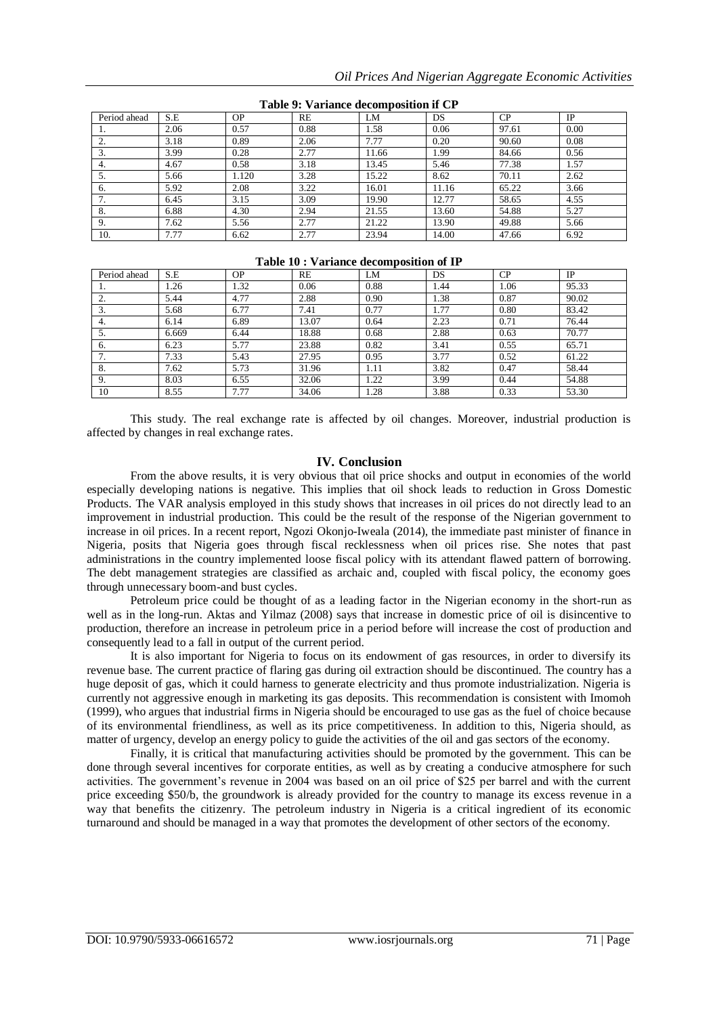| Period ahead | S.E  | <b>OP</b> | RE   | LM    | DS    | CP    | IP   |  |  |  |  |
|--------------|------|-----------|------|-------|-------|-------|------|--|--|--|--|
|              | 2.06 | 0.57      | 0.88 | l.58  | 0.06  | 97.61 | 0.00 |  |  |  |  |
| <u>.</u>     | 3.18 | 0.89      | 2.06 | 7.77  | 0.20  | 90.60 | 0.08 |  |  |  |  |
| 3.           | 3.99 | 0.28      | 2.77 | 11.66 | 1.99  | 84.66 | 0.56 |  |  |  |  |
| 4.           | 4.67 | 0.58      | 3.18 | 13.45 | 5.46  | 77.38 | 1.57 |  |  |  |  |
|              | 5.66 | 1.120     | 3.28 | 15.22 | 8.62  | 70.11 | 2.62 |  |  |  |  |
| 6.           | 5.92 | 2.08      | 3.22 | 16.01 | 11.16 | 65.22 | 3.66 |  |  |  |  |
|              | 6.45 | 3.15      | 3.09 | 19.90 | 12.77 | 58.65 | 4.55 |  |  |  |  |
| 8.           | 6.88 | 4.30      | 2.94 | 21.55 | 13.60 | 54.88 | 5.27 |  |  |  |  |
| 9.           | 7.62 | 5.56      | 2.77 | 21.22 | 13.90 | 49.88 | 5.66 |  |  |  |  |
| 10.          | 7.77 | 6.62      | 2.77 | 23.94 | 14.00 | 47.66 | 6.92 |  |  |  |  |

**Table 9: Variance decomposition if CP**

# **Table 10 : Variance decomposition of IP**

| Period ahead | S.E   | <b>OP</b> | RE    | LM   | <b>DS</b> | CP   | IP    |
|--------------|-------|-----------|-------|------|-----------|------|-------|
| .,           | 1.26  | 1.32      | 0.06  | 0.88 | 1.44      | 1.06 | 95.33 |
|              | 5.44  | 4.77      | 2.88  | 0.90 | 1.38      | 0.87 | 90.02 |
|              | 5.68  | 6.77      | 7.41  | 0.77 | 1.77      | 0.80 | 83.42 |
| 4.           | 6.14  | 6.89      | 13.07 | 0.64 | 2.23      | 0.71 | 76.44 |
|              | 6.669 | 6.44      | 18.88 | 0.68 | 2.88      | 0.63 | 70.77 |
| 6.           | 6.23  | 5.77      | 23.88 | 0.82 | 3.41      | 0.55 | 65.71 |
|              | 7.33  | 5.43      | 27.95 | 0.95 | 3.77      | 0.52 | 61.22 |
| 8.           | 7.62  | 5.73      | 31.96 | 1.11 | 3.82      | 0.47 | 58.44 |
| 9.           | 8.03  | 6.55      | 32.06 | 1.22 | 3.99      | 0.44 | 54.88 |
| 10           | 8.55  | 7.77      | 34.06 | 1.28 | 3.88      | 0.33 | 53.30 |

This study. The real exchange rate is affected by oil changes. Moreover, industrial production is affected by changes in real exchange rates.

## **IV. Conclusion**

From the above results, it is very obvious that oil price shocks and output in economies of the world especially developing nations is negative. This implies that oil shock leads to reduction in Gross Domestic Products. The VAR analysis employed in this study shows that increases in oil prices do not directly lead to an improvement in industrial production. This could be the result of the response of the Nigerian government to increase in oil prices. In a recent report, Ngozi Okonjo-Iweala (2014), the immediate past minister of finance in Nigeria, posits that Nigeria goes through fiscal recklessness when oil prices rise. She notes that past administrations in the country implemented loose fiscal policy with its attendant flawed pattern of borrowing. The debt management strategies are classified as archaic and, coupled with fiscal policy, the economy goes through unnecessary boom-and bust cycles.

Petroleum price could be thought of as a leading factor in the Nigerian economy in the short-run as well as in the long-run. Aktas and Yilmaz (2008) says that increase in domestic price of oil is disincentive to production, therefore an increase in petroleum price in a period before will increase the cost of production and consequently lead to a fall in output of the current period.

It is also important for Nigeria to focus on its endowment of gas resources, in order to diversify its revenue base. The current practice of flaring gas during oil extraction should be discontinued. The country has a huge deposit of gas, which it could harness to generate electricity and thus promote industrialization. Nigeria is currently not aggressive enough in marketing its gas deposits. This recommendation is consistent with Imomoh (1999), who argues that industrial firms in Nigeria should be encouraged to use gas as the fuel of choice because of its environmental friendliness, as well as its price competitiveness. In addition to this, Nigeria should, as matter of urgency, develop an energy policy to guide the activities of the oil and gas sectors of the economy.

Finally, it is critical that manufacturing activities should be promoted by the government. This can be done through several incentives for corporate entities, as well as by creating a conducive atmosphere for such activities. The government's revenue in 2004 was based on an oil price of \$25 per barrel and with the current price exceeding \$50/b, the groundwork is already provided for the country to manage its excess revenue in a way that benefits the citizenry. The petroleum industry in Nigeria is a critical ingredient of its economic turnaround and should be managed in a way that promotes the development of other sectors of the economy.